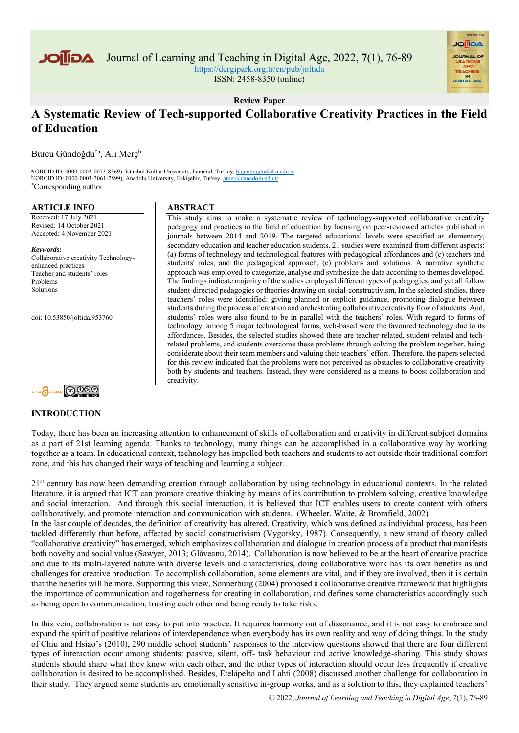

Journal of Learning and Teaching in Digital Age, 2022, **7**(1), 76-89

<https://dergipark.org.tr/en/pub/joltida>

ISSN: 2458-8350 (online)

**AGIIOL** 

**Review Paper**

# **A Systematic Review of Tech-supported Collaborative Creativity Practices in the Field of Education**

Burcu Gündoğdu\*a, Ali Merç<sup>b</sup>

<sup>a</sup>(ORCID ID: 0000-0002-0073-8369), İstanbul Kültür University, İstanbul, Turkey, <u>b.gundogdu@iku.edu.tr</u> <sup>b</sup>(ORCID ID: 0000-0003-3061-7899), Anadolu University, Eskişehir, Turkey, amerc@anadolu.edu.tr \*Corresponding author

#### **ARTICLE INFO**

Received: 17 July 2021 Revised: 14 October 2021 Accepted: 4 November 2021

*Keywords:* Collaborative creativity Technologyenhanced practices Teacher and students' roles Problems Solutions

doi: 10.53850/joltida.953760



#### **INTRODUCTION**

# **ABSTRACT**

This study aims to make a systematic review of technology-supported collaborative creativity pedagogy and practices in the field of education by focusing on peer-reviewed articles published in journals between 2014 and 2019. The targeted educational levels were specified as elementary, secondary education and teacher education students. 21 studies were examined from different aspects: (a) forms of technology and technological features with pedagogical affordances and (c) teachers and students' roles, and the pedagogical approach, (c) problems and solutions. A narrative synthetic approach was employed to categorize, analyse and synthesize the data according to themes developed. The findings indicate majority of the studies employed different types of pedagogies, and yet all follow student-directed pedagogies or theories drawing on social-constructivism. In the selected studies, three teachers' roles were identified: giving planned or explicit guidance, promoting dialogue between students during the process of creation and orchestrating collaborative creativity flow of students. And, students' roles were also found to be in parallel with the teachers' roles. With regard to forms of technology, among 5 major technological forms, web-based were the favoured technology due to its affordances. Besides, the selected studies showed there are teacher-related, student-related and techrelated problems, and students overcome these problems through solving the problem together, being considerate about their team members and valuing their teachers' effort. Therefore, the papers selected for this review indicated that the problems were not perceived as obstacles to collaborative creativity both by students and teachers. Instead, they were considered as a means to boost collaboration and creativity.

Today, there has been an increasing attention to enhancement of skills of collaboration and creativity in different subject domains as a part of 21st learning agenda. Thanks to technology, many things can be accomplished in a collaborative way by working together as a team. In educational context, technology has impelled both teachers and students to act outside their traditional comfort zone, and this has changed their ways of teaching and learning a subject.

2<sup>1st</sup> century has now been demanding creation through collaboration by using technology in educational contexts. In the related literature, it is argued that ICT can promote creative thinking by means of its contribution to problem solving, creative knowledge and social interaction. And through this social interaction, it is believed that ICT enables users to create content with others collaboratively, and promote interaction and communication with students. (Wheeler, Waite, & Bromfield, 2002) In the last couple of decades, the definition of creativity has altered. Creativity, which was defined as individual process, has been tackled differently than before, affected by social constructivism [\(Vygotsky, 1987\)](https://www.frontiersin.org/articles/10.3389/fpsyg.2019.01474/full#B59). Consequently, a new strand of theory called "collaborative creativity" has emerged, which emphasizes collaboration and dialogue in creation process of a product that manifests both novelty and social value (Sawyer, 2013[; Glăveanu, 2014\)](https://www.frontiersin.org/articles/10.3389/fpsyg.2019.01474/full#B12). Collaboration is now believed to be at the heart of creative practice and due to its multi-layered nature with diverse levels and characteristics, doing collaborative work has its own benefits as and challenges for creative production. To accomplish collaboration, some elements are vital, and if they are involved, then it is certain that the benefits will be more. Supporting this view, Sonnerburg (2004) proposed a collaborative creative framework that highlights the importance of communication and togetherness for creating in collaboration, and defines some characteristics accordingly such as being open to communication, trusting each other and being ready to take risks.

In this vein, collaboration is not easy to put into practice. It requires harmony out of dissonance, and it is not easy to embrace and expand the spirit of positive relations of interdependence when everybody has its own reality and way of doing things. In the study of Chiu and Hsiao's (2010), 290 middle school students' responses to the interview questions showed that there are four different types of interaction occur among students: passive, silent, off- task behaviour and active knowledge-sharing. This study shows students should share what they know with each other, and the other types of interaction should occur less frequently if creative collaboration is desired to be accomplished. Besides, Eteläpelto and Lahti (2008) discussed another challenge for collaboration in their study. They argued some students are emotionally sensitive in-group works, and as a solution to this, they explained teachers'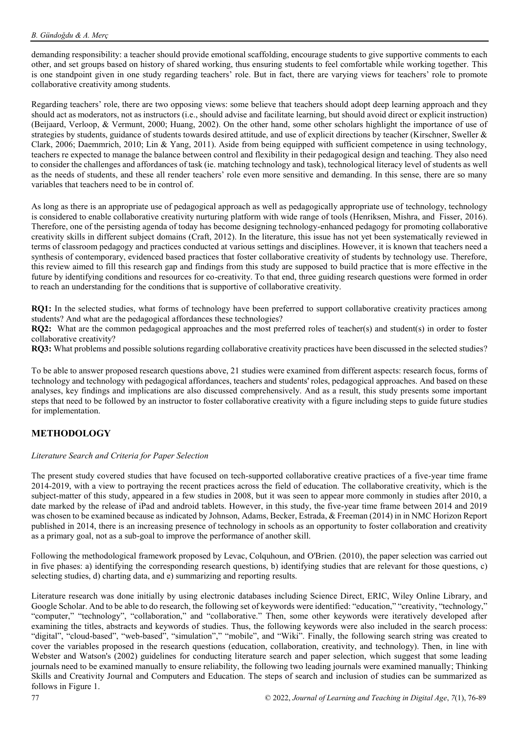demanding responsibility: a teacher should provide emotional scaffolding, encourage students to give supportive comments to each other, and set groups based on history of shared working, thus ensuring students to feel comfortable while working together. This is one standpoint given in one study regarding teachers' role. But in fact, there are varying views for teachers' role to promote collaborative creativity among students.

Regarding teachers' role, there are two opposing views: some believe that teachers should adopt deep learning approach and they should act as moderators, not as instructors (i.e., should advise and facilitate learning, but should avoid direct or explicit instruction) (Beijaard, Verloop, & Vermunt, 2000; Huang, 2002). On the other hand, some other scholars highlight the importance of use of strategies by students, guidance of students towards desired attitude, and use of explicit directions by teacher (Kirschner, Sweller & Clark, 2006; Daemmrich, 2010; Lin & Yang, 2011). Aside from being equipped with sufficient competence in using technology, teachers re expected to manage the balance between control and flexibility in their pedagogical design and teaching. They also need to consider the challenges and affordances of task (ie. matching technology and task), technological literacy level of students as well as the needs of students, and these all render teachers' role even more sensitive and demanding. In this sense, there are so many variables that teachers need to be in control of.

As long as there is an appropriate use of pedagogical approach as well as pedagogically appropriate use of technology, technology is considered to enable collaborative creativity nurturing platform with wide range of tools (Henriksen, Mishra, and Fisser, 2016). Therefore, one of the persisting agenda of today has become designing technology-enhanced pedagogy for promoting collaborative creativity skills in different subject domains (Craft, 2012). In the literature, this issue has not yet been systematically reviewed in terms of classroom pedagogy and practices conducted at various settings and disciplines. However, it is known that teachers need a synthesis of contemporary, evidenced based practices that foster collaborative creativity of students by technology use. Therefore, this review aimed to fill this research gap and findings from this study are supposed to build practice that is more effective in the future by identifying conditions and resources for co-creativity. To that end, three guiding research questions were formed in order to reach an understanding for the conditions that is supportive of collaborative creativity.

**RQ1:** In the selected studies, what forms of technology have been preferred to support collaborative creativity practices among students? And what are the pedagogical affordances these technologies?

**RQ2:** What are the common pedagogical approaches and the most preferred roles of teacher(s) and student(s) in order to foster collaborative creativity?

**RQ3:** What problems and possible solutions regarding collaborative creativity practices have been discussed in the selected studies?

To be able to answer proposed research questions above, 21 studies were examined from different aspects: research focus, forms of technology and technology with pedagogical affordances, teachers and students' roles, pedagogical approaches. And based on these analyses, key findings and implications are also discussed comprehensively. And as a result, this study presents some important steps that need to be followed by an instructor to foster collaborative creativity with a figure including steps to guide future studies for implementation.

# **METHODOLOGY**

#### *Literature Search and Criteria for Paper Selection*

The present study covered studies that have focused on tech-supported collaborative creative practices of a five-year time frame 2014-2019, with a view to portraying the recent practices across the field of education. The collaborative creativity, which is the subject-matter of this study, appeared in a few studies in 2008, but it was seen to appear more commonly in studies after 2010, a date marked by the release of iPad and android tablets. However, in this study, the five-year time frame between 2014 and 2019 was chosen to be examined because as indicated by Johnson, Adams, Becker, Estrada, & Freeman (2014) in in NMC Horizon Report published in 2014, there is an increasing presence of technology in schools as an opportunity to foster collaboration and creativity as a primary goal, not as a sub-goal to improve the performance of another skill.

Following the methodological framework proposed by Levac, Colquhoun, and O'Brien. (2010), the paper selection was carried out in five phases: a) identifying the corresponding research questions, b) identifying studies that are relevant for those questions, c) selecting studies, d) charting data, and e) summarizing and reporting results.

Literature research was done initially by using electronic databases including Science Direct, ERIC, Wiley Online Library, and Google Scholar. And to be able to do research, the following set of keywords were identified: "education," "creativity, "technology," "computer," "technology", "collaboration," and "collaborative." Then, some other keywords were iteratively developed after examining the titles, abstracts and keywords of studies. Thus, the following keywords were also included in the search process: "digital", "cloud-based", "web-based", "simulation"," "mobile", and "Wiki". Finally, the following search string was created to cover the variables proposed in the research questions (education, collaboration, creativity, and technology). Then, in line with Webster and Watson's (2002) guidelines for conducting literature search and paper selection, which suggest that some leading journals need to be examined manually to ensure reliability, the following two leading journals were examined manually; Thinking Skills and Creativity Journal and Computers and Education. The steps of search and inclusion of studies can be summarized as follows in Figure 1.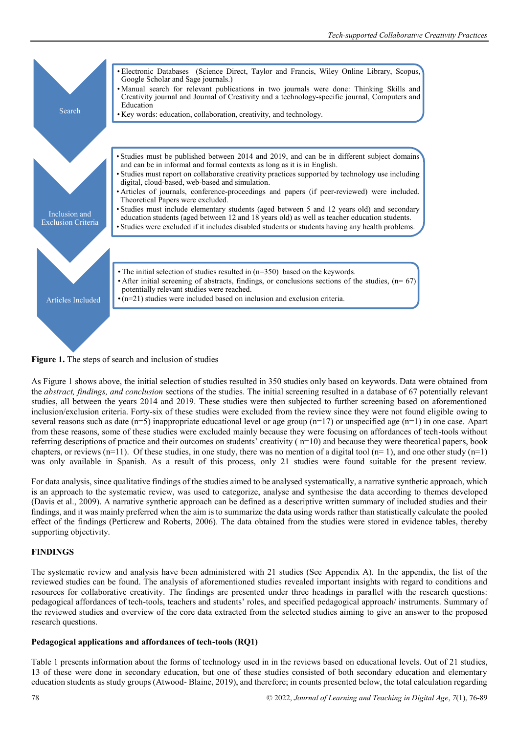

**Figure 1.** The steps of search and inclusion of studies

As Figure 1 shows above, the initial selection of studies resulted in 350 studies only based on keywords. Data were obtained from the *abstract, findings, and conclusion* sections of the studies. The initial screening resulted in a database of 67 potentially relevant studies, all between the years 2014 and 2019. These studies were then subjected to further screening based on aforementioned inclusion/exclusion criteria. Forty-six of these studies were excluded from the review since they were not found eligible owing to several reasons such as date (n=5) inappropriate educational level or age group (n=17) or unspecified age (n=1) in one case. Apart from these reasons, some of these studies were excluded mainly because they were focusing on affordances of tech-tools without referring descriptions of practice and their outcomes on students' creativity ( n=10) and because they were theoretical papers, book chapters, or reviews (n=11). Of these studies, in one study, there was no mention of a digital tool (n= 1), and one other study (n=1) was only available in Spanish. As a result of this process, only 21 studies were found suitable for the present review.

For data analysis, since qualitative findings of the studies aimed to be analysed systematically, a narrative synthetic approach, which is an approach to the systematic review, was used to categorize, analyse and synthesise the data according to themes developed [\(Davis et al., 2009\)](https://www.frontiersin.org/articles/10.3389/fpsyg.2019.01474/full#B10). A narrative synthetic approach can be defined as a descriptive written summary of included studies and their findings, and it was mainly preferred when the aim is to summarize the data using words rather than statistically calculate the pooled effect of the findings (Petticrew and Roberts, 2006). The data obtained from the studies were stored in evidence tables, thereby supporting objectivity.

# **FINDINGS**

The systematic review and analysis have been administered with 21 studies (See Appendix A). In the appendix, the list of the reviewed studies can be found. The analysis of aforementioned studies revealed important insights with regard to conditions and resources for collaborative creativity. The findings are presented under three headings in parallel with the research questions: pedagogical affordances of tech-tools, teachers and students' roles, and specified pedagogical approach/ instruments. Summary of the reviewed studies and overview of the core data extracted from the selected studies aiming to give an answer to the proposed research questions.

# **Pedagogical applications and affordances of tech-tools (RQ1)**

Table 1 presents information about the forms of technology used in in the reviews based on educational levels. Out of 21 studies, 13 of these were done in secondary education, but one of these studies consisted of both secondary education and elementary education students as study groups (Atwood- Blaine, 2019), and therefore; in counts presented below, the total calculation regarding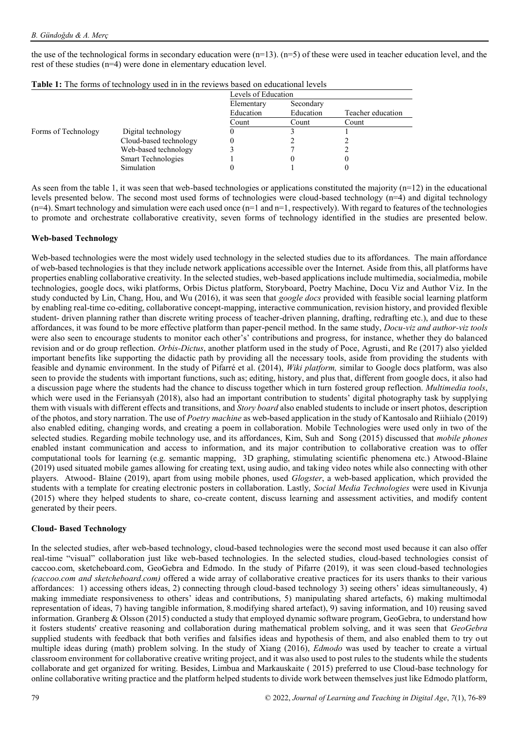the use of the technological forms in secondary education were  $(n=13)$ .  $(n=5)$  of these were used in teacher education level, and the rest of these studies (n=4) were done in elementary education level.

|                     |                           | Levels of Education |           |                   |  |  |
|---------------------|---------------------------|---------------------|-----------|-------------------|--|--|
|                     |                           | Elementary          | Secondary |                   |  |  |
|                     |                           | Education           | Education | Teacher education |  |  |
|                     |                           | Count               | Count     | Count             |  |  |
| Forms of Technology | Digital technology        |                     |           |                   |  |  |
|                     | Cloud-based technology    |                     |           |                   |  |  |
|                     | Web-based technology      |                     |           |                   |  |  |
|                     | <b>Smart Technologies</b> |                     |           | U                 |  |  |
|                     | Simulation                |                     |           |                   |  |  |

|  |  |  |  | Table 1: The forms of technology used in in the reviews based on educational levels |  |  |  |  |  |  |  |  |  |
|--|--|--|--|-------------------------------------------------------------------------------------|--|--|--|--|--|--|--|--|--|
|--|--|--|--|-------------------------------------------------------------------------------------|--|--|--|--|--|--|--|--|--|

As seen from the table 1, it was seen that web-based technologies or applications constituted the majority  $(n=12)$  in the educational levels presented below. The second most used forms of technologies were cloud-based technology (n=4) and digital technology  $(n=4)$ . Smart technology and simulation were each used once  $(n=1$  and  $n=1$ , respectively). With regard to features of the technologies to promote and orchestrate collaborative creativity, seven forms of technology identified in the studies are presented below.

## **Web-based Technology**

Web-based technologies were the most widely used technology in the selected studies due to its affordances. The main affordance of web-based technologies is that they include network applications accessible over the Internet. Aside from this, all platforms have properties enabling collaborative creativity. In the selected studies, web-based applications include multimedia, socialmedia, mobile technologies, google docs, wiki platforms, Orbis Dictus platform, Storyboard, Poetry Machine, Docu Viz and Author Viz. In the study conducted by Lin, Chang, Hou, and Wu (2016), it was seen that *google docs* provided with feasible social learning platform by enabling real-time co-editing, collaborative concept-mapping, interactive communication, revision history, and provided flexible student- driven planning rather than discrete writing process of teacher-driven planning, drafting, redrafting etc.), and due to these affordances, it was found to be more effective platform than paper-pencil method. In the same study, *Docu-viz and author-viz tools*  were also seen to encourage students to monitor each other's' contributions and progress, for instance, whether they do balanced revision and or do group reflection. *Orbis-Dictus*, another platform used in the study of Poce, Agrusti, and Re (2017) also yielded important benefits like supporting the didactic path by providing all the necessary tools, aside from providing the students with feasible and dynamic environment. In the study of Pifarré et al. (2014), *Wiki platform,* similar to Google docs platform, was also seen to provide the students with important functions, such as; editing, history, and plus that, different from google docs, it also had a discussion page where the students had the chance to discuss together which in turn fostered group reflection. *Multimedia tools*, which were used in the Feriansyah (2018), also had an important contribution to students' digital photography task by supplying them with visuals with different effects and transitions, and *Story board* also enabled students to include or insert photos, description of the photos, and story narration. The use of *Poetry machine* as web-based application in the study of Kantosalo and Riihialo (2019) also enabled editing, changing words, and creating a poem in collaboration. Mobile Technologies were used only in two of the selected studies. Regarding mobile technology use, and its affordances, Kim, Suh and Song (2015) discussed that *mobile phones* enabled instant communication and access to information, and its major contribution to collaborative creation was to offer computational tools for learning (e.g. semantic mapping, 3D graphing, stimulating scientific phenomena etc.) Atwood-Blaine (2019) used situated mobile games allowing for creating text, using audio, and taking video notes while also connecting with other players. Atwood- Blaine (2019), apart from using mobile phones, used *Glogster*, a web-based application, which provided the students with a template for creating electronic posters in collaboration. Lastly, *Social Media Technologies* were used in Kivunja (2015) where they helped students to share, co-create content, discuss learning and assessment activities, and modify content generated by their peers.

#### **Cloud- Based Technology**

In the selected studies, after web-based technology, cloud-based technologies were the second most used because it can also offer real-time "visual" collaboration just like web-based technologies. In the selected studies, cloud-based technologies consist of caccoo.com, sketcheboard.com, GeoGebra and Edmodo. In the study of Pifarre (2019), it was seen cloud-based technologies *(caccoo.com and sketcheboard.com)* offered a wide array of collaborative creative practices for its users thanks to their various affordances: 1) accessing others ideas, 2) connecting through cloud-based technology 3) seeing others' ideas simultaneously, 4) making immediate responsiveness to others' ideas and contributions, 5) manipulating shared artefacts, 6) making multimodal representation of ideas, 7) having tangible information, 8.modifying shared artefact), 9) saving information, and 10) reusing saved information. Granberg & Olsson (2015) conducted a study that employed dynamic software program, GeoGebra, to understand how it fosters students' creative reasoning and collaboration during mathematical problem solving, and it was seen that *GeoGebra* supplied students with feedback that both verifies and falsifies ideas and hypothesis of them, and also enabled them to try out multiple ideas during (math) problem solving. In the study of Xiang (2016), *Edmodo* was used by teacher to create a virtual classroom environment for collaborative creative writing project, and it was also used to post rules to the students while the students collaborate and get organized for writing. Besides, Limbua and Markauskaite ( 2015) preferred to use Cloud-base technology for online collaborative writing practice and the platform helped students to divide work between themselves just like Edmodo platform,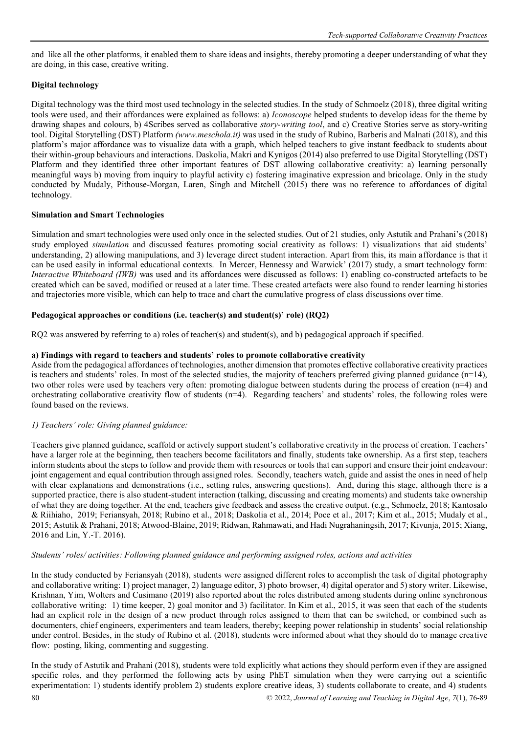and like all the other platforms, it enabled them to share ideas and insights, thereby promoting a deeper understanding of what they are doing, in this case, creative writing.

# **Digital technology**

Digital technology was the third most used technology in the selected studies. In the study of Schmoelz (2018), three digital writing tools were used, and their affordances were explained as follows: a) *Iconoscope* helped students to develop ideas for the theme by drawing shapes and colours, b) 4Scribes served as collaborative *story-writing tool*, and c) Creative Stories serve as story-writing tool. Digital Storytelling (DST) Platform *[\(www.meschola.it\)](http://www.meschola.it/)* was used in the study of Rubino, Barberis and Malnati (2018), and this platform's major affordance was to visualize data with a graph, which helped teachers to give instant feedback to students about their within-group behaviours and interactions. Daskolia, Makri and Kynigos (2014) also preferred to use Digital Storytelling (DST) Platform and they identified three other important features of DST allowing collaborative creativity: a) learning personally meaningful ways b) moving from inquiry to playful activity c) fostering imaginative expression and bricolage. Only in the study conducted by Mudaly, Pithouse-Morgan, Laren, Singh and Mitchell (2015) there was no reference to affordances of digital technology.

## **Simulation and Smart Technologies**

Simulation and smart technologies were used only once in the selected studies. Out of 21 studies, only Astutik and Prahani's (2018) study employed *simulation* and discussed features promoting social creativity as follows: 1) visualizations that aid students' understanding, 2) allowing manipulations, and 3) leverage direct student interaction. Apart from this, its main affordance is that it can be used easily in informal educational contexts. In Mercer, Hennessy and Warwick' (2017) study, a smart technology form: *Interactive Whiteboard (IWB)* was used and its affordances were discussed as follows: 1) enabling co-constructed artefacts to be created which can be saved, modified or reused at a later time. These created artefacts were also found to render learning histories and trajectories more visible, which can help to trace and chart the cumulative progress of class discussions over time.

## **Pedagogical approaches or conditions (i.e. teacher(s) and student(s)' role) (RQ2)**

RQ2 was answered by referring to a) roles of teacher(s) and student(s), and b) pedagogical approach if specified.

## **a) Findings with regard to teachers and students' roles to promote collaborative creativity**

Aside from the pedagogical affordances of technologies, another dimension that promotes effective collaborative creativity practices is teachers and students' roles. In most of the selected studies, the majority of teachers preferred giving planned guidance  $(n=14)$ , two other roles were used by teachers very often: promoting dialogue between students during the process of creation (n=4) and orchestrating collaborative creativity flow of students (n=4). Regarding teachers' and students' roles, the following roles were found based on the reviews.

# *1) Teachers' role: Giving planned guidance:*

Teachers give planned guidance, scaffold or actively support student's collaborative creativity in the process of creation. Teachers' have a larger role at the beginning, then teachers become facilitators and finally, students take ownership. As a first step, teachers inform students about the steps to follow and provide them with resources or tools that can support and ensure their joint endeavour: joint engagement and equal contribution through assigned roles. Secondly, teachers watch, guide and assist the ones in need of help with clear explanations and demonstrations (i.e., setting rules, answering questions). And, during this stage, although there is a supported practice, there is also student-student interaction (talking, discussing and creating moments) and students take ownership of what they are doing together. At the end, teachers give feedback and assess the creative output. (e.g., Schmoelz, 2018; Kantosalo & Riihiaho, 2019; Feriansyah, 2018; Rubino et al., 2018; Daskolia et al., 2014; Poce et al., 2017; Kim et al., 2015; Mudaly et al., 2015; Astutik & Prahani, 2018; Atwood-Blaine, 2019; Ridwan, Rahmawati, and Hadi Nugrahaningsih, 2017; Kivunja, 2015; Xiang, 2016 and Lin, Y.-T. 2016).

#### *Students' roles/ activities: Following planned guidance and performing assigned roles, actions and activities*

In the study conducted by Feriansyah (2018), students were assigned different roles to accomplish the task of digital photography and collaborative writing: 1) project manager, 2) language editor, 3) photo browser, 4) digital operator and 5) story writer. Likewise, Krishnan, Yim, Wolters and Cusimano (2019) also reported about the roles distributed among students during online synchronous collaborative writing: 1) time keeper, 2) goal monitor and 3) facilitator. In Kim et al., 2015, it was seen that each of the students had an explicit role in the design of a new product through roles assigned to them that can be switched, or combined such as documenters, chief engineers, experimenters and team leaders, thereby; keeping power relationship in students' social relationship under control. Besides, in the study of Rubino et al. (2018), students were informed about what they should do to manage creative flow: posting, liking, commenting and suggesting.

In the study of Astutik and Prahani (2018), students were told explicitly what actions they should perform even if they are assigned specific roles, and they performed the following acts by using PhET simulation when they were carrying out a scientific experimentation: 1) students identify problem 2) students explore creative ideas, 3) students collaborate to create, and 4) students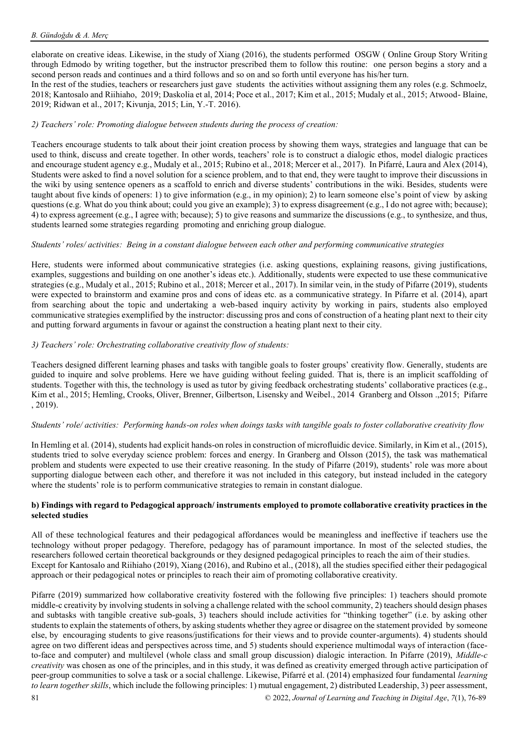elaborate on creative ideas. Likewise, in the study of Xiang (2016), the students performed OSGW ( Online Group Story Writing through Edmodo by writing together, but the instructor prescribed them to follow this routine: one person begins a story and a second person reads and continues and a third follows and so on and so forth until everyone has his/her turn.

In the rest of the studies, teachers or researchers just gave students the activities without assigning them any roles (e.g. Schmoelz, 2018; Kantosalo and Riihiaho, 2019; Daskolia et al, 2014; Poce et al., 2017; Kim et al., 2015; Mudaly et al., 2015; Atwood- Blaine, 2019; Ridwan et al., 2017; Kivunja, 2015; Lin, Y.-T. 2016).

## *2) Teachers' role: Promoting dialogue between students during the process of creation:*

Teachers encourage students to talk about their joint creation process by showing them ways, strategies and language that can be used to think, discuss and create together. In other words, teachers' role is to construct a dialogic ethos, model dialogic practices and encourage student agency e.g., Mudaly et al., 2015; Rubino et al., 2018; Mercer et al., 2017). In Pifarré, Laura and Alex (2014), Students were asked to find a novel solution for a science problem, and to that end, they were taught to improve their discussions in the wiki by using sentence openers as a scaffold to enrich and diverse students' contributions in the wiki. Besides, students were taught about five kinds of openers: 1) to give information (e.g., in my opinion); 2) to learn someone else's point of view by asking questions (e.g. What do you think about; could you give an example); 3) to express disagreement (e.g., I do not agree with; because); 4) to express agreement (e.g., I agree with; because); 5) to give reasons and summarize the discussions (e.g., to synthesize, and thus, students learned some strategies regarding promoting and enriching group dialogue.

#### *Students' roles/ activities: Being in a constant dialogue between each other and performing communicative strategies*

Here, students were informed about communicative strategies (i.e. asking questions, explaining reasons, giving justifications, examples, suggestions and building on one another's ideas etc.). Additionally, students were expected to use these communicative strategies (e.g., Mudaly et al., 2015; Rubino et al., 2018; Mercer et al., 2017). In similar vein, in the study of Pifarre (2019), students were expected to brainstorm and examine pros and cons of ideas etc. as a communicative strategy. In Pifarre et al. (2014), apart from searching about the topic and undertaking a web-based inquiry activity by working in pairs, students also employed communicative strategies exemplified by the instructor: discussing pros and cons of construction of a heating plant next to their city and putting forward arguments in favour or against the construction a heating plant next to their city.

## *3) Teachers' role: Orchestrating collaborative creativity flow of students:*

Teachers designed different learning phases and tasks with tangible goals to foster groups' creativity flow. Generally, students are guided to inquire and solve problems. Here we have guiding without feeling guided. That is, there is an implicit scaffolding of students. Together with this, the technology is used as tutor by giving feedback orchestrating students' collaborative practices (e.g., Kim et al., 2015; Hemling, Crooks, Oliver, Brenner, Gilbertson, Lisensky and Weibel., 2014 Granberg and Olsson .,2015; Pifarre , 2019).

## *Students' role/ activities: Performing hands-on roles when doings tasks with tangible goals to foster collaborative creativity flow*

In Hemling et al. (2014), students had explicit hands-on roles in construction of microfluidic device. Similarly, in Kim et al., (2015), students tried to solve everyday science problem: forces and energy. In Granberg and Olsson (2015), the task was mathematical problem and students were expected to use their creative reasoning. In the study of Pifarre (2019), students' role was more about supporting dialogue between each other, and therefore it was not included in this category, but instead included in the category where the students' role is to perform communicative strategies to remain in constant dialogue.

#### **b) Findings with regard to Pedagogical approach/ instruments employed to promote collaborative creativity practices in the selected studies**

All of these technological features and their pedagogical affordances would be meaningless and ineffective if teachers use the technology without proper pedagogy. Therefore, pedagogy has of paramount importance. In most of the selected studies, the researchers followed certain theoretical backgrounds or they designed pedagogical principles to reach the aim of their studies. Except for Kantosalo and Riihiaho (2019), Xiang (2016), and Rubino et al., (2018), all the studies specified either their pedagogical approach or their pedagogical notes or principles to reach their aim of promoting collaborative creativity.

Pifarre (2019) summarized how collaborative creativity fostered with the following five principles: 1) teachers should promote middle-c creativity by involving students in solving a challenge related with the school community, 2) teachers should design phases and subtasks with tangible creative sub-goals, 3) teachers should include activities for "thinking together" (i.e. by asking other students to explain the statements of others, by asking students whether they agree or disagree on the statement provided by someone else, by encouraging students to give reasons/justifications for their views and to provide counter-arguments). 4) students should agree on two different ideas and perspectives across time, and 5) students should experience multimodal ways of interaction (faceto-face and computer) and multilevel (whole class and small group discussion) dialogic interaction. In Pifarre (2019), *Middle-c creativity* was chosen as one of the principles, and in this study, it was defined as creativity emerged through active participation of peer-group communities to solve a task or a social challenge. Likewise, Pifarré et al. (2014) emphasized four fundamental *learning to learn together skills*, which include the following principles: 1) mutual engagement, 2) distributed Leadership, 3) peer assessment,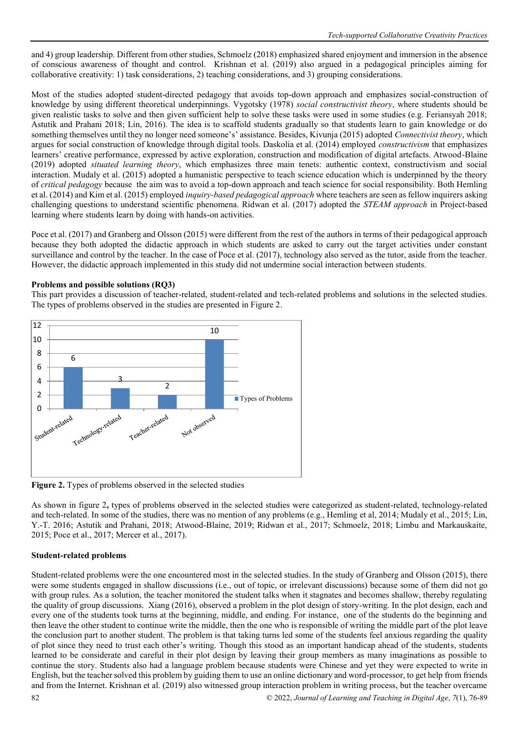and 4) group leadership. Different from other studies, Schmoelz (2018) emphasized shared enjoyment and immersion in the absence of conscious awareness of thought and control. [Krishnan](https://ila.onlinelibrary.wiley.com/action/doSearch?ContribAuthorStored=Krishnan%2C+Jenell) et al. (2019) also argued in a pedagogical principles aiming for collaborative creativity: 1) task considerations, 2) teaching considerations, and 3) grouping considerations.

Most of the studies adopted student-directed pedagogy that avoids top-down approach and emphasizes social-construction of knowledge by using different theoretical underpinnings. Vygotsky (1978) *social constructivist theory*, where students should be given realistic tasks to solve and then given sufficient help to solve these tasks were used in some studies (e.g. Feriansyah 2018; Astutik and Prahani 2018; Lin, 2016). The idea is to scaffold students gradually so that students learn to gain knowledge or do something themselves until they no longer need someone's' assistance. Besides, Kivunja (2015) adopted *Connectivist theory*, which argues for social construction of knowledge through digital tools. Daskolia et al. (2014) employed *constructivism* that emphasizes learners' creative performance, expressed by active exploration, construction and modification of digital artefacts. Atwood-Blaine (2019) adopted *situated learning theory*, which emphasizes three main tenets: authentic context, constructivism and social interaction. Mudaly et al. (2015) adopted a humanistic perspective to teach science education which is underpinned by the theory of *critical pedagogy* because the aim was to avoid a top-down approach and teach science for social responsibility. Both Hemling et al. (2014) and Kim et al. (2015) employed *inquiry-based pedagogical approach* where teachers are seen as fellow inquirers asking challenging questions to understand scientific phenomena. Ridwan et al. (2017) adopted the *STEAM approach* in Project-based learning where students learn by doing with hands-on activities.

Poce et al. (2017) and Granberg and Olsson (2015) were different from the rest of the authors in terms of their pedagogical approach because they both adopted the didactic approach in which students are asked to carry out the target activities under constant surveillance and control by the teacher. In the case of Poce et al. (2017), technology also served as the tutor, aside from the teacher. However, the didactic approach implemented in this study did not undermine social interaction between students.

# **Problems and possible solutions (RQ3)**

This part provides a discussion of teacher-related, student-related and tech-related problems and solutions in the selected studies. The types of problems observed in the studies are presented in Figure 2.



Figure 2. Types of problems observed in the selected studies

As shown in figure 2**,** types of problems observed in the selected studies were categorized as student-related, technology-related and tech-related. In some of the studies, there was no mention of any problems (e.g., Hemling et al, 2014; Mudaly et al., 2015; Lin, Y.-T. 2016; Astutik and Prahani, 2018; Atwood-Blaine, 2019; Ridwan et al., 2017; Schmoelz, 2018; Limbu and Markauskaite, 2015; Poce et al., 2017; Mercer et al., 2017).

# **Student-related problems**

Student-related problems were the one encountered most in the selected studies. In the study of Granberg and Olsson (2015), there were some students engaged in shallow discussions (i.e., out of topic, or irrelevant discussions) because some of them did not go with group rules. As a solution, the teacher monitored the student talks when it stagnates and becomes shallow, thereby regulating the quality of group discussions. Xiang (2016), observed a problem in the plot design of story-writing. In the plot design, each and every one of the students took turns at the beginning, middle, and ending. For instance, one of the students do the beginning and then leave the other student to continue write the middle, then the one who is responsible of writing the middle part of the plot leave the conclusion part to another student. The problem is that taking turns led some of the students feel anxious regarding the quality of plot since they need to trust each other's writing. Though this stood as an important handicap ahead of the students, students learned to be considerate and careful in their plot design by leaving their group members as many imaginations as possible to continue the story. Students also had a language problem because students were Chinese and yet they were expected to write in English, but the teacher solved this problem by guiding them to use an online dictionary and word-processor, to get help from friends and from the Internet. [Krishnan](https://ila.onlinelibrary.wiley.com/action/doSearch?ContribAuthorStored=Krishnan%2C+Jenell) et al. (2019) also witnessed group interaction problem in writing process, but the teacher overcame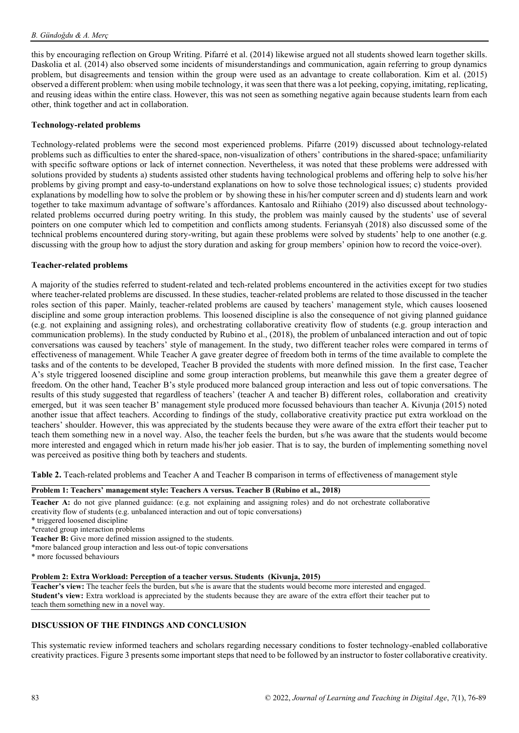this by encouraging reflection on Group Writing. Pifarré et al. (2014) likewise argued not all students showed learn together skills. Daskolia et al. (2014) also observed some incidents of misunderstandings and communication, again referring to group dynamics problem, but disagreements and tension within the group were used as an advantage to create collaboration. Kim et al. (2015) observed a different problem: when using mobile technology, it was seen that there was a lot peeking, copying, imitating, replicating, and reusing ideas within the entire class. However, this was not seen as something negative again because students learn from each other, think together and act in collaboration.

#### **Technology-related problems**

Technology-related problems were the second most experienced problems. Pifarre (2019) discussed about technology-related problems such as difficulties to enter the shared-space, non-visualization of others' contributions in the shared-space; unfamiliarity with specific software options or lack of internet connection. Nevertheless, it was noted that these problems were addressed with solutions provided by students a) students assisted other students having technological problems and offering help to solve his/her problems by giving prompt and easy-to-understand explanations on how to solve those technological issues; c) students provided explanations by modelling how to solve the problem or by showing these in his/her computer screen and d) students learn and work together to take maximum advantage of software's affordances. Kantosalo and Riihiaho (2019) also discussed about technologyrelated problems occurred during poetry writing. In this study, the problem was mainly caused by the students' use of several pointers on one computer which led to competition and conflicts among students. Feriansyah (2018) also discussed some of the technical problems encountered during story-writing, but again these problems were solved by students' help to one another (e.g. discussing with the group how to adjust the story duration and asking for group members' opinion how to record the voice-over).

#### **Teacher-related problems**

A majority of the studies referred to student-related and tech-related problems encountered in the activities except for two studies where teacher-related problems are discussed. In these studies, teacher-related problems are related to those discussed in the teacher roles section of this paper. Mainly, teacher-related problems are caused by teachers' management style, which causes loosened discipline and some group interaction problems. This loosened discipline is also the consequence of not giving planned guidance (e.g. not explaining and assigning roles), and orchestrating collaborative creativity flow of students (e.g. group interaction and communication problems). In the study conducted by Rubino et al., (2018), the problem of unbalanced interaction and out of topic conversations was caused by teachers' style of management. In the study, two different teacher roles were compared in terms of effectiveness of management. While Teacher A gave greater degree of freedom both in terms of the time available to complete the tasks and of the contents to be developed, Teacher B provided the students with more defined mission. In the first case, Teacher A's style triggered loosened discipline and some group interaction problems, but meanwhile this gave them a greater degree of freedom. On the other hand, Teacher B's style produced more balanced group interaction and less out of topic conversations. The results of this study suggested that regardless of teachers' (teacher A and teacher B) different roles, collaboration and creativity emerged, but it was seen teacher B' management style produced more focussed behaviours than teacher A. Kivunja (2015) noted another issue that affect teachers. According to findings of the study, collaborative creativity practice put extra workload on the teachers' shoulder. However, this was appreciated by the students because they were aware of the extra effort their teacher put to teach them something new in a novel way. Also, the teacher feels the burden, but s/he was aware that the students would become more interested and engaged which in return made his/her job easier. That is to say, the burden of implementing something novel was perceived as positive thing both by teachers and students.

**Table 2.** Teach-related problems and Teacher A and Teacher B comparison in terms of effectiveness of management style

#### **Problem 1: Teachers' management style: Teachers A versus. Teacher B (Rubino et al., 2018)**

**Teacher A:** do not give planned guidance: (e.g. not explaining and assigning roles) and do not orchestrate collaborative creativity flow of students (e.g. unbalanced interaction and out of topic conversations)

\* triggered loosened discipline

\*created group interaction problems

**Teacher B:** Give more defined mission assigned to the students.

\*more balanced group interaction and less out-of topic conversations

\* more focussed behaviours

**Problem 2: Extra Workload: Perception of a teacher versus. Students (Kivunja, 2015)**

**Teacher's view:** The teacher feels the burden, but s/he is aware that the students would become more interested and engaged. **Student's view:** Extra workload is appreciated by the students because they are aware of the extra effort their teacher put to teach them something new in a novel way.

#### **DISCUSSION OF THE FINDINGS AND CONCLUSION**

This systematic review informed teachers and scholars regarding necessary conditions to foster technology-enabled collaborative creativity practices. Figure 3 presents some important steps that need to be followed by an instructor to foster collaborative creativity.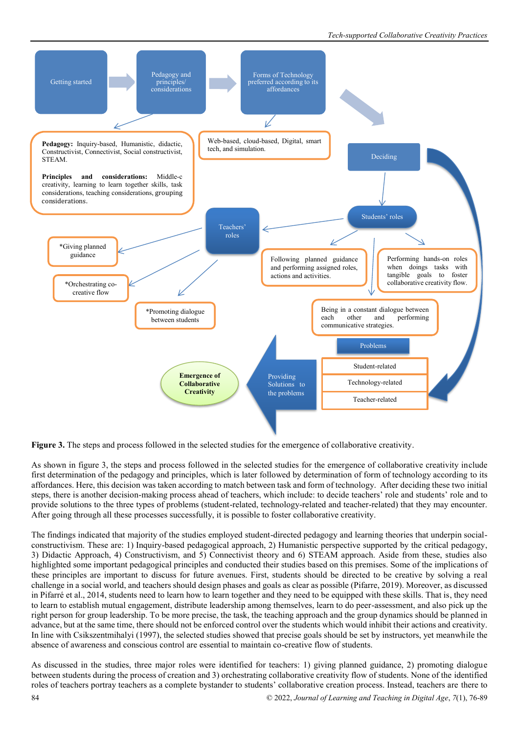

**Figure 3.** The steps and process followed in the selected studies for the emergence of collaborative creativity.

As shown in figure 3, the steps and process followed in the selected studies for the emergence of collaborative creativity include first determination of the pedagogy and principles, which is later followed by determination of form of technology according to its affordances. Here, this decision was taken according to match between task and form of technology. After deciding these two initial steps, there is another decision-making process ahead of teachers, which include: to decide teachers' role and students' role and to provide solutions to the three types of problems (student-related, technology-related and teacher-related) that they may encounter. After going through all these processes successfully, it is possible to foster collaborative creativity.

The findings indicated that majority of the studies employed student-directed pedagogy and learning theories that underpin socialconstructivism. These are: 1) Inquiry-based pedagogical approach, 2) Humanistic perspective supported by the critical pedagogy, 3) Didactic Approach, 4) Constructivism, and 5) Connectivist theory and 6) STEAM approach. Aside from these, studies also highlighted some important pedagogical principles and conducted their studies based on this premises. Some of the implications of these principles are important to discuss for future avenues. First, students should be directed to be creative by solving a real challenge in a social world, and teachers should design phases and goals as clear as possible (Pifarre, 2019). Moreover, as discussed in Pifarré et al., 2014, students need to learn how to learn together and they need to be equipped with these skills. That is, they need to learn to establish mutual engagement, distribute leadership among themselves, learn to do peer-assessment, and also pick up the right person for group leadership. To be more precise, the task, the teaching approach and the group dynamics should be planned in advance, but at the same time, there should not be enforced control over the students which would inhibit their actions and creativity. In line with Csikszentmihalyi (1997), the selected studies showed that precise goals should be set by instructors, yet meanwhile the absence of awareness and conscious control are essential to maintain co-creative flow of students.

As discussed in the studies, three major roles were identified for teachers: 1) giving planned guidance, 2) promoting dialogue between students during the process of creation and 3) orchestrating collaborative creativity flow of students. None of the identified roles of teachers portray teachers as a complete bystander to students' collaborative creation process. Instead, teachers are there to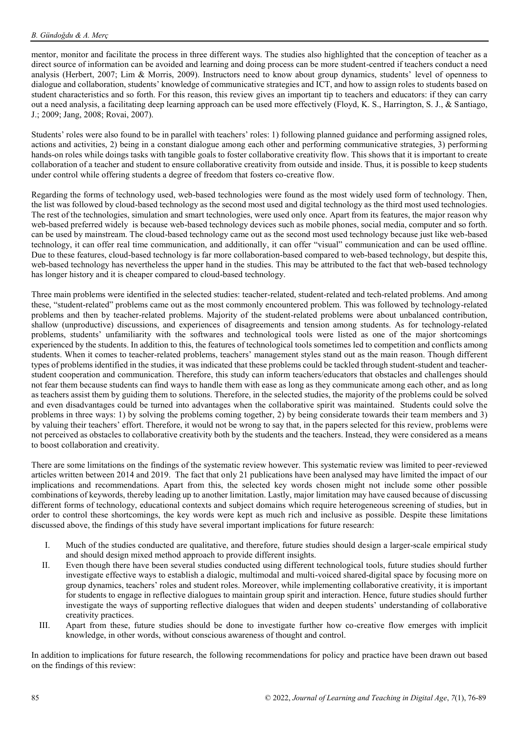mentor, monitor and facilitate the process in three different ways. The studies also highlighted that the conception of teacher as a direct source of information can be avoided and learning and doing process can be more student-centred if teachers conduct a need analysis (Herbert, 2007; Lim & Morris, 2009). Instructors need to know about group dynamics, students' level of openness to dialogue and collaboration, students' knowledge of communicative strategies and ICT, and how to assign roles to students based on student characteristics and so forth. For this reason, this review gives an important tip to teachers and educators: if they can carry out a need analysis, a facilitating deep learning approach can be used more effectively (Floyd, K. S., Harrington, S. J., & Santiago, J.; 2009; Jang, 2008; Rovai, 2007).

Students' roles were also found to be in parallel with teachers' roles: 1) following planned guidance and performing assigned roles, actions and activities, 2) being in a constant dialogue among each other and performing communicative strategies, 3) performing hands-on roles while doings tasks with tangible goals to foster collaborative creativity flow. This shows that it is important to create collaboration of a teacher and student to ensure collaborative creativity from outside and inside. Thus, it is possible to keep students under control while offering students a degree of freedom that fosters co-creative flow.

Regarding the forms of technology used, web-based technologies were found as the most widely used form of technology. Then, the list was followed by cloud-based technology as the second most used and digital technology as the third most used technologies. The rest of the technologies, simulation and smart technologies, were used only once. Apart from its features, the major reason why web-based preferred widely is because web-based technology devices such as mobile phones, social media, computer and so forth. can be used by mainstream. The cloud-based technology came out as the second most used technology because just like web-based technology, it can offer real time communication, and additionally, it can offer "visual" communication and can be used offline. Due to these features, cloud-based technology is far more collaboration-based compared to web-based technology, but despite this, web-based technology has nevertheless the upper hand in the studies. This may be attributed to the fact that web-based technology has longer history and it is cheaper compared to cloud-based technology.

Three main problems were identified in the selected studies: teacher-related, student-related and tech-related problems. And among these, "student-related" problems came out as the most commonly encountered problem. This was followed by technology-related problems and then by teacher-related problems. Majority of the student-related problems were about unbalanced contribution, shallow (unproductive) discussions, and experiences of disagreements and tension among students. As for technology-related problems, students' unfamiliarity with the softwares and technological tools were listed as one of the major shortcomings experienced by the students. In addition to this, the features of technological tools sometimes led to competition and conflicts among students. When it comes to teacher-related problems, teachers' management styles stand out as the main reason. Though different types of problems identified in the studies, it was indicated that these problems could be tackled through student-student and teacherstudent cooperation and communication. Therefore, this study can inform teachers/educators that obstacles and challenges should not fear them because students can find ways to handle them with ease as long as they communicate among each other, and as long as teachers assist them by guiding them to solutions. Therefore, in the selected studies, the majority of the problems could be solved and even disadvantages could be turned into advantages when the collaborative spirit was maintained. Students could solve the problems in three ways: 1) by solving the problems coming together, 2) by being considerate towards their team members and 3) by valuing their teachers' effort. Therefore, it would not be wrong to say that, in the papers selected for this review, problems were not perceived as obstacles to collaborative creativity both by the students and the teachers. Instead, they were considered as a means to boost collaboration and creativity.

There are some limitations on the findings of the systematic review however. This systematic review was limited to peer-reviewed articles written between 2014 and 2019. The fact that only 21 publications have been analysed may have limited the impact of our implications and recommendations. Apart from this, the selected key words chosen might not include some other possible combinations of keywords, thereby leading up to another limitation. Lastly, major limitation may have caused because of discussing different forms of technology, educational contexts and subject domains which require heterogeneous screening of studies, but in order to control these shortcomings, the key words were kept as much rich and inclusive as possible. Despite these limitations discussed above, the findings of this study have several important implications for future research:

- I. Much of the studies conducted are qualitative, and therefore, future studies should design a larger-scale empirical study and should design mixed method approach to provide different insights.
- II. Even though there have been several studies conducted using different technological tools, future studies should further investigate effective ways to establish a dialogic, multimodal and multi-voiced shared-digital space by focusing more on group dynamics, teachers' roles and student roles. Moreover, while implementing collaborative creativity, it is important for students to engage in reflective dialogues to maintain group spirit and interaction. Hence, future studies should further investigate the ways of supporting reflective dialogues that widen and deepen students' understanding of collaborative creativity practices.
- III. Apart from these, future studies should be done to investigate further how co-creative flow emerges with implicit knowledge, in other words, without conscious awareness of thought and control.

In addition to implications for future research, the following recommendations for policy and practice have been drawn out based on the findings of this review: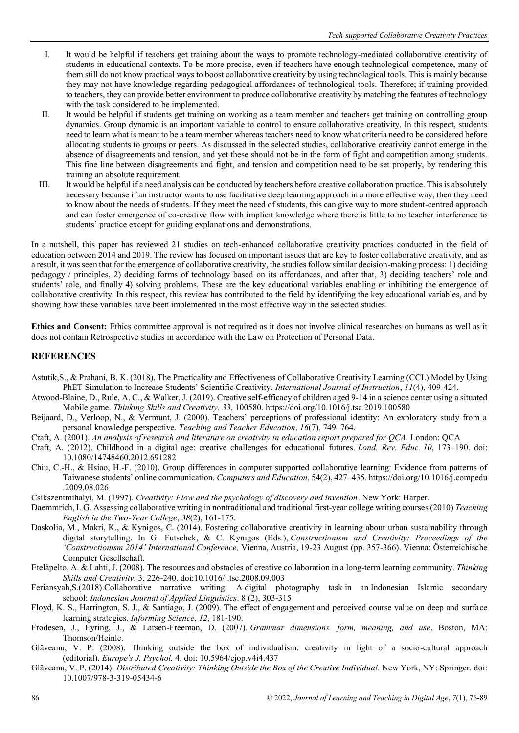- I. It would be helpful if teachers get training about the ways to promote technology-mediated collaborative creativity of students in educational contexts. To be more precise, even if teachers have enough technological competence, many of them still do not know practical ways to boost collaborative creativity by using technological tools. This is mainly because they may not have knowledge regarding pedagogical affordances of technological tools. Therefore; if training provided to teachers, they can provide better environment to produce collaborative creativity by matching the features of technology with the task considered to be implemented.
- II. It would be helpful if students get training on working as a team member and teachers get training on controlling group dynamics. Group dynamic is an important variable to control to ensure collaborative creativity. In this respect, students need to learn what is meant to be a team member whereas teachers need to know what criteria need to be considered before allocating students to groups or peers. As discussed in the selected studies, collaborative creativity cannot emerge in the absence of disagreements and tension, and yet these should not be in the form of fight and competition among students. This fine line between disagreements and fight, and tension and competition need to be set properly, by rendering this training an absolute requirement.
- III. It would be helpful if a need analysis can be conducted by teachers before creative collaboration practice. This is absolutely necessary because if an instructor wants to use facilitative deep learning approach in a more effective way, then they need to know about the needs of students. If they meet the need of students, this can give way to more student-centred approach and can foster emergence of co-creative flow with implicit knowledge where there is little to no teacher interference to students' practice except for guiding explanations and demonstrations.

In a nutshell, this paper has reviewed 21 studies on tech-enhanced collaborative creativity practices conducted in the field of education between 2014 and 2019. The review has focused on important issues that are key to foster collaborative creativity, and as a result, it was seen that for the emergence of collaborative creativity, the studies follow similar decision-making process: 1) deciding pedagogy / principles, 2) deciding forms of technology based on its affordances, and after that, 3) deciding teachers' role and students' role, and finally 4) solving problems. These are the key educational variables enabling or inhibiting the emergence of collaborative creativity. In this respect, this review has contributed to the field by identifying the key educational variables, and by showing how these variables have been implemented in the most effective way in the selected studies.

**Ethics and Consent:** Ethics committee approval is not required as it does not involve clinical researches on humans as well as it does not contain Retrospective studies in accordance with the Law on Protection of Personal Data.

# **REFERENCES**

- Astutik,S., & Prahani, B. K. (2018). The Practicality and Effectiveness of Collaborative Creativity Learning (CCL) Model by Using PhET Simulation to Increase Students' Scientific Creativity. *International Journal of Instruction*, *11*(4), 409-424.
- Atwood-Blaine, D., Rule, A. C., & Walker, J. (2019). Creative self-efficacy of children aged 9-14 in a science center using a situated Mobile game. *Thinking Skills and Creativity*, *33*, 100580[. https://doi.org/10.1016/j.tsc.2019.100580](https://doi.org/10.1016/j.tsc.2019.100580)
- Beijaard, D., Verloop, N., & Vermunt, J. (2000). Teachers' perceptions of professional identity: An exploratory study from a personal knowledge perspective. *Teaching and Teacher Education*, *16*(7), 749–764.
- Craft, A. (2001). *An analysis of research and literature on creativity in education report prepared for QCA.* London: QCA
- Craft, A. (2012). Childhood in a digital age: creative challenges for educational futures. *Lond. Rev. Educ. 10*, 173–190. doi: 10.1080/14748460.2012.691282
- Chiu, C.-H., & Hsiao, H.-F. (2010). Group differences in computer supported collaborative learning: Evidence from patterns of Taiwanese students' online communication. *Computers and Education*, 54(2), 427–435[. https://doi.org/10.1016/j.compedu](https://doi.org/10.1016/j.compedu%20.2009.08.026)  [.2009.08.026](https://doi.org/10.1016/j.compedu%20.2009.08.026)
- Csikszentmihalyi, M. (1997). *Creativity: Flow and the psychology of discovery and invention*. New York: Harper.
- Daemmrich, I. G. Assessing collaborative writing in nontraditional and traditional first-year college writing courses (2010) *Teaching English in the Two-Year College*, *38*(2), 161-175.
- Daskolia, M., Makri, K., & Kynigos, C. (2014). Fostering collaborative creativity in learning about urban sustainability through digital storytelling. In G. Futschek, & C. Kynigos (Eds.), *Constructionism and Creativity: Proceedings of the 'Constructionism 2014' International Conference,* Vienna, Austria, 19-23 August (pp. 357-366). Vienna: Österreichische Computer Gesellschaft.
- Eteläpelto, A. & Lahti, J. (2008). The resources and obstacles of creative collaboration in a long-term learning community. *Thinking Skills and Creativity*, 3, 226-240. doi:10.1016/j.tsc.2008.09.003
- Feriansyah,S.(2018).Collaborative narrative writing: A digital photography task in an Indonesian Islamic secondary school: *Indonesian Journal of Applied Linguistics*. 8 (2), 303-315
- Floyd, K. S., Harrington, S. J., & Santiago, J. (2009). The effect of engagement and perceived course value on deep and surface learning strategies. *Informing Science*, *12*, 181-190.
- Frodesen, J., Eyring, J., & Larsen-Freeman, D. (2007). *Grammar dimensions. form, meaning, and use*. Boston, MA: Thomson/Heinle.
- Glăveanu, V. P. (2008). Thinking outside the box of individualism: creativity in light of a socio-cultural approach (editorial). *Europe's J. Psychol.* 4. doi: 10.5964/ejop.v4i4.437
- Glăveanu, V. P. (2014). *Distributed Creativity: Thinking Outside the Box of the Creative Individual.* New York, NY: Springer. doi: 10.1007/978-3-319-05434-6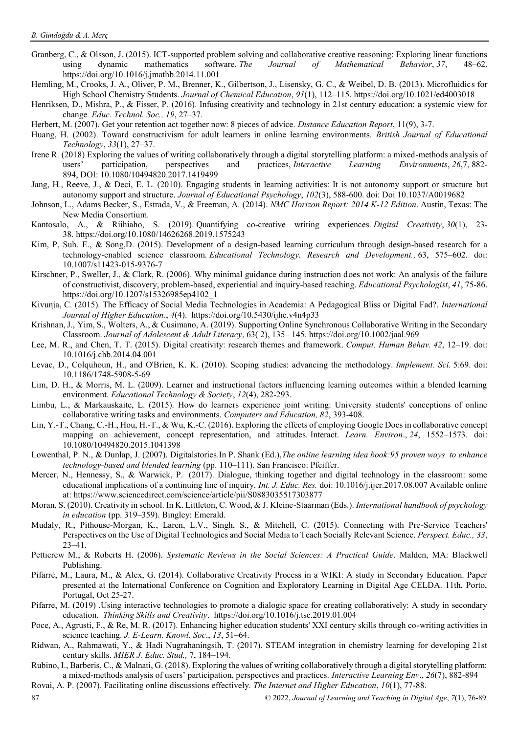- Granberg, C., & Olsson, J. (2015). ICT-supported problem solving and collaborative creative reasoning: Exploring linear functions<br>using dynamic mathematics software. The Journal of Mathematical Behavior. 37. 48–62. using dynamic mathematics software. *The Journal of Mathematical Behavior*, *37*, 48–62. <https://doi.org/10.1016/j.jmathb.2014.11.001>
- Hemling, M., Crooks, J. A., Oliver, P. M., Brenner, K., Gilbertson, J., Lisensky, G. C., & Weibel, D. B. (2013). Microfluidics for High School Chemistry Students. *Journal of Chemical Education*, *91*(1), 112–115.<https://doi.org/10.1021/ed4003018>
- Henriksen, D., Mishra, P., & Fisser, P. (2016). Infusing creativity and technology in 21st century education: a systemic view for change*. Educ. Technol. Soc., 19*, 27–37.
- Herbert, M. (2007). Get your retention act together now: 8 pieces of advice. *Distance Education Report*, 11(9), 3-7.
- Huang, H. (2002). Toward constructivism for adult learners in online learning environments. *British Journal of Educational Technology*, *33*(1), 27–37.
- Irene R. (2018) Exploring the values of writing collaboratively through a digital storytelling platform: a mixed-methods analysis of users' participation, perspectives and practices, *Interactive Learning Environments*, 26 users' participation, perspectives and practices, *Interactive Learning Environments*, *26*,7, 882- 894, DOI: [10.1080/10494820.2017.1419499](https://doi.org/10.1080/10494820.2017.1419499)
- Jang, H., Reeve, J., & Deci, E. L. (2010). Engaging students in learning activities: It is not autonomy support or structure but autonomy support and structure. *Journal of Educational Psychology*, *102*(3), 588-600. doi: Doi 10.1037/A0019682
- Johnson, L., Adams Becker, S., Estrada, V., & Freeman, A. (2014). *NMC Horizon Report: 2014 K-12 Edition*. Austin, Texas: The New Media Consortium.
- Kantosalo, A., & Riihiaho, S. (2019). Quantifying co-creative writing experiences. *Digital Creativity*, 30(1), 23-38. <https://doi.org/10.1080/14626268.2019.1575243>
- Kim, P, Suh. E., & Song,D. (2015). Development of a design-based learning curriculum through design-based research for a technology-enabled science classroom. *Educational Technology. Research and Development.,* 63, 575–602. doi: 10.1007/s11423-015-9376-7
- Kirschner, P., Sweller, J., & Clark, R. (2006). Why minimal guidance during instruction does not work: An analysis of the failure of constructivist, discovery, problem-based, experiential and inquiry-based teaching. *Educational Psychologist*, *41*, 75-86. https://doi.org/10.1207/s15326985ep4102\_1
- Kivunja, C. (2015). The Efficacy of Social Media Technologies in Academia: A Pedagogical Bliss or Digital Fad?. *International Journal of Higher Education*., *4*(4).<https://doi.org/10.5430/ijhe.v4n4p33>
- Krishnan, J., Yim, S., Wolters, A., & Cusimano, A. (2019). Supporting Online Synchronous Collaborative Writing in the Secondary Classroom. *Journal of Adolescent & Adult Literacy*, 63( 2), 135– 145. <https://doi.org/10.1002/jaal.969>
- Lee, M. R., and Chen, T. T. (2015). Digital creativity: research themes and framework. *Comput. Human Behav. 42*, 12–19. doi: 10.1016/j.chb.2014.04.001
- Levac, D., Colquhoun, H., and O'Brien, K. K. (2010). Scoping studies: advancing the methodology. *Implement. Sci.* 5:69. doi: 10.1186/1748-5908-5-69
- Lim, D. H., & Morris, M. L. (2009). Learner and instructional factors influencing learning outcomes within a blended learning environment. *Educational Technology & Society*, *12*(4), 282-293.
- Limbu, L., & Markauskaite, L. (2015). How do learners experience joint writing: University students' conceptions of online collaborative writing tasks and environments. *Computers and Education, 82*, 393-408.
- Lin, Y.-T., Chang, C.-H., Hou, H.-T., & Wu, K.-C. (2016). Exploring the effects of employing Google Docs in collaborative concept mapping on achievement, concept representation, and attitudes. Interact. *Learn. Environ*., *24*, 1552–1573. doi: 10.1080/10494820.2015.1041398
- Lowenthal, P. N., & Dunlap, J. (2007). Digitalstories.In P. Shank (Ed.),*The online learning idea book:95 proven ways to enhance technology-based and blended learning* (pp. 110–111). San Francisco: Pfeiffer.
- Mercer, N., Hennessy, S., & Warwick, P. (2017). Dialogue, thinking together and digital technology in the classroom: some educational implications of a continuing line of inquiry. *Int. J. Educ. Res.* doi: 10.1016/j.ijer.2017.08.007 Available online at: <https://www.sciencedirect.com/science/article/pii/S0883035517303877>
- Moran, S. (2010). Creativity in school. In K. Littleton, C. Wood, & J. Kleine-Staarman (Eds.). *International handbook of psychology in education* (pp. 319–359). Bingley: Emerald.
- Mudaly, R., Pithouse-Morgan, K., Laren, L.V., Singh, S., & Mitchell, C. (2015). Connecting with Pre-Service Teachers' Perspectives on the Use of Digital Technologies and Social Media to Teach Socially Relevant Science. *Perspect. Educ., 33*, 23–41.
- Petticrew M., & Roberts H. (2006). *Systematic Reviews in the Social Sciences: A Practical Guide*. Malden, MA: Blackwell Publishing.
- Pifarré, M., Laura, M., & Alex, G. (2014). Collaborative Creativity Process in a WIKI: A study in Secondary Education. Paper presented at the International Conference on Cognition and Exploratory Learning in Digital Age CELDA. 11th, Porto, Portugal, Oct 25-27.
- Pifarre, M. (2019) .Using interactive technologies to promote a dialogic space for creating collaboratively: A study in secondary education. *Thinking Skills and Creativity*.<https://doi.org/10.1016/j.tsc.2019.01.004>
- Poce, A., Agrusti, F., & Re, M. R. (2017). Enhancing higher education students' XXI century skills through co-writing activities in science teaching. *J. E-Learn. Knowl. Soc*., *13*, 51–64.
- Ridwan, A., Rahmawati, Y., & Hadi Nugrahaningsih, T. (2017). STEAM integration in chemistry learning for developing 21st century skills. *MIER J. Educ. Stud.,* 7, 184–194.
- Rubino, I., Barberis, C., & Malnati, G. (2018). Exploring the values of writing collaboratively through a digital storytelling platform: a mixed-methods analysis of users' participation, perspectives and practices. *Interactive Learning Env*., *26*(7), 882-894
- 87 © 2022, *Journal of Learning and Teaching in Digital Age*, *7*(1), 76-89 Rovai, A. P. (2007). Facilitating online discussions effectively. *The Internet and Higher Education*, *10*(1), 77-88.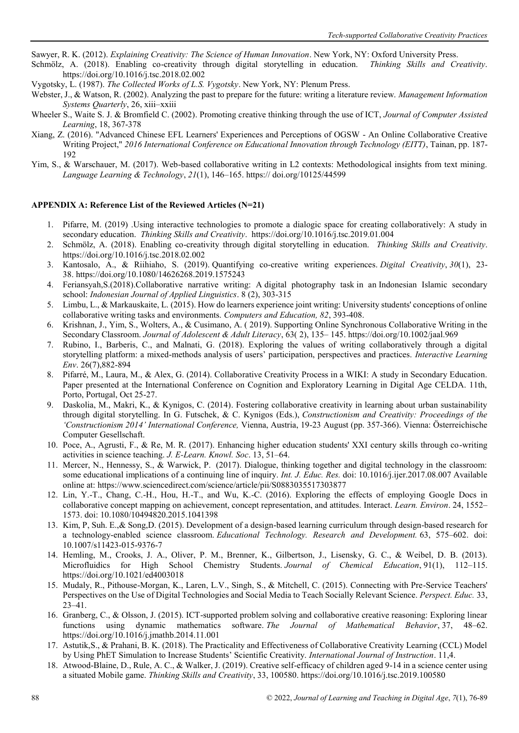Sawyer, R. K. (2012). *Explaining Creativity: The Science of Human Innovation*. New York, NY: Oxford University Press.

- Schmölz, A. (2018). Enabling co-creativity through digital storytelling in education. *Thinking Skills and Creativity*. <https://doi.org/10.1016/j.tsc.2018.02.002>
- Vygotsky, L. (1987). *The Collected Works of L.S. Vygotsky*. New York, NY: Plenum Press.
- Webster, J., & Watson, R. (2002). Analyzing the past to prepare for the future: writing a literature review. *Management Information Systems Quarterly*, 26, xiii–xxiii
- Wheeler S., Waite S. J. & Bromfield C. (2002). Promoting creative thinking through the use of ICT, *Journal of Computer Assisted Learning*, 18, 367-378
- Xiang, Z. (2016). "Advanced Chinese EFL Learners' Experiences and Perceptions of OGSW An Online Collaborative Creative Writing Project," *2016 International Conference on Educational Innovation through Technology (EITT)*, Tainan, pp. 187- 192
- Yim, S., & Warschauer, M. (2017). Web-based collaborative writing in L2 contexts: Methodological insights from text mining. *Language Learning & Technology*, *21*(1), 146–165. https:// doi.org/10125/44599

#### **APPENDIX A: Reference List of the Reviewed Articles (N=21)**

- 1. Pifarre, M. (2019) .Using interactive technologies to promote a dialogic space for creating collaboratively: A study in secondary education. *Thinking Skills and Creativity*.<https://doi.org/10.1016/j.tsc.2019.01.004>
- 2. Schmölz, A. (2018). Enabling co-creativity through digital storytelling in education. *Thinking Skills and Creativity*. <https://doi.org/10.1016/j.tsc.2018.02.002>
- 3. Kantosalo, A., & Riihiaho, S. (2019). Quantifying co-creative writing experiences. *Digital Creativity*, *30*(1), 23- 38. <https://doi.org/10.1080/14626268.2019.1575243>
- 4. Feriansyah,S.(2018).Collaborative narrative writing: A digital photography task in an Indonesian Islamic secondary school: *Indonesian Journal of Applied Linguistics*. 8 (2), 303-315
- 5. Limbu, L., & Markauskaite, L. (2015). How do learners experience joint writing: University students' conceptions of online collaborative writing tasks and environments. *Computers and Education, 82*, 393-408.
- 6. Krishnan, J., Yim, S., Wolters, A., & Cusimano, A. ( 2019). Supporting Online Synchronous Collaborative Writing in the Secondary Classroom. *Journal of Adolescent & Adult Literacy*, 63( 2), 135– 145. <https://doi.org/10.1002/jaal.969>
- 7. Rubino, I., Barberis, C., and Malnati, G. (2018). Exploring the values of writing collaboratively through a digital storytelling platform: a mixed-methods analysis of users' participation, perspectives and practices. *Interactive Learning Env*. 26(7),882-894
- 8. Pifarré, M., Laura, M., & Alex, G. (2014). Collaborative Creativity Process in a WIKI: A study in Secondary Education. Paper presented at the International Conference on Cognition and Exploratory Learning in Digital Age CELDA. 11th, Porto, Portugal, Oct 25-27.
- 9. Daskolia, M., Makri, K., & Kynigos, C. (2014). Fostering collaborative creativity in learning about urban sustainability through digital storytelling. In G. Futschek, & C. Kynigos (Eds.), *Constructionism and Creativity: Proceedings of the 'Constructionism 2014' International Conference,* Vienna, Austria, 19-23 August (pp. 357-366). Vienna: Österreichische Computer Gesellschaft.
- 10. Poce, A., Agrusti, F., & Re, M. R. (2017). Enhancing higher education students' XXI century skills through co-writing activities in science teaching. *J. E-Learn. Knowl. Soc*. 13, 51–64.
- 11. Mercer, N., Hennessy, S., & Warwick, P. (2017). Dialogue, thinking together and digital technology in the classroom: some educational implications of a continuing line of inquiry. *Int. J. Educ. Res.* doi: 10.1016/j.ijer.2017.08.007 Available online at: <https://www.sciencedirect.com/science/article/pii/S0883035517303877>
- 12. Lin, Y.-T., Chang, C.-H., Hou, H.-T., and Wu, K.-C. (2016). Exploring the effects of employing Google Docs in collaborative concept mapping on achievement, concept representation, and attitudes. Interact. *Learn. Environ*. 24, 1552– 1573. doi: 10.1080/10494820.2015.1041398
- 13. Kim, P, Suh. E.,& Song,D. (2015). Development of a design-based learning curriculum through design-based research for a technology-enabled science classroom. *Educational Technology. Research and Development.* 63, 575–602. doi: 10.1007/s11423-015-9376-7
- 14. Hemling, M., Crooks, J. A., Oliver, P. M., Brenner, K., Gilbertson, J., Lisensky, G. C., & Weibel, D. B. (2013). Microfluidics for High School Chemistry Students. *Journal of Chemical Education*, 91(1), 112–115. <https://doi.org/10.1021/ed4003018>
- 15. Mudaly, R., Pithouse-Morgan, K., Laren, L.V., Singh, S., & Mitchell, C. (2015). Connecting with Pre-Service Teachers' Perspectives on the Use of Digital Technologies and Social Media to Teach Socially Relevant Science. *Perspect. Educ.* 33, 23–41.
- 16. Granberg, C., & Olsson, J. (2015). ICT-supported problem solving and collaborative creative reasoning: Exploring linear functions using dynamic mathematics software. *The Journal of Mathematical Behavior*, 37, 48–62. <https://doi.org/10.1016/j.jmathb.2014.11.001>
- 17. Astutik,S., & Prahani, B. K. (2018). The Practicality and Effectiveness of Collaborative Creativity Learning (CCL) Model by Using PhET Simulation to Increase Students' Scientific Creativity. *International Journal of Instruction*. 11,4.
- 18. Atwood-Blaine, D., Rule, A. C., & Walker, J. (2019). Creative self-efficacy of children aged 9-14 in a science center using a situated Mobile game. *Thinking Skills and Creativity*, 33, 100580.<https://doi.org/10.1016/j.tsc.2019.100580>